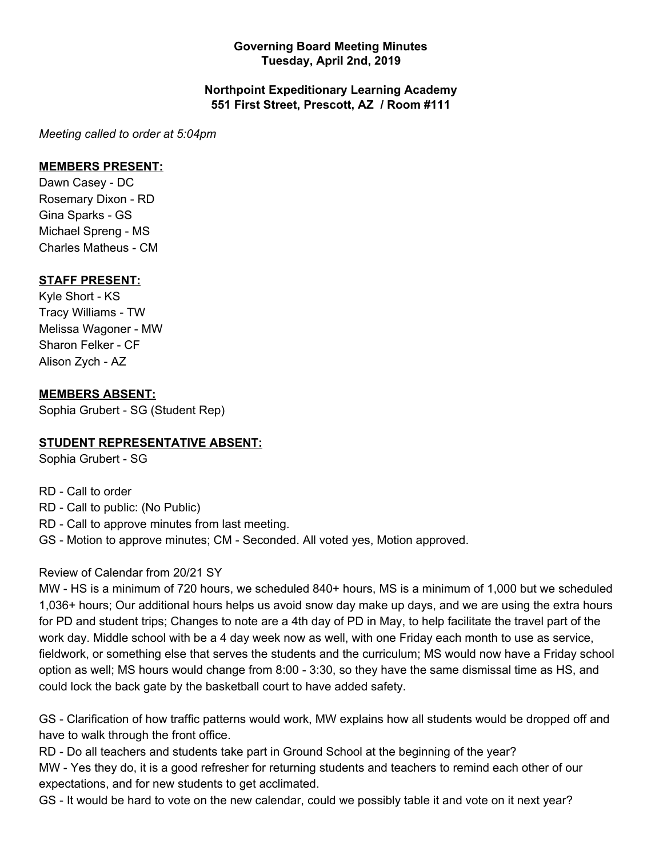### **Governing Board Meeting Minutes Tuesday, April 2nd, 2019**

### **Northpoint Expeditionary Learning Academy 551 First Street, Prescott, AZ / Room #111**

*Meeting called to order at 5:04pm*

#### **MEMBERS PRESENT:**

Dawn Casey - DC Rosemary Dixon - RD Gina Sparks - GS Michael Spreng - MS Charles Matheus - CM

## **STAFF PRESENT:**

Kyle Short - KS Tracy Williams - TW Melissa Wagoner - MW Sharon Felker - CF Alison Zych - AZ

### **MEMBERS ABSENT:**

Sophia Grubert - SG (Student Rep)

## **STUDENT REPRESENTATIVE ABSENT:**

Sophia Grubert - SG

RD - Call to order RD - Call to public: (No Public)

RD - Call to approve minutes from last meeting.

GS - Motion to approve minutes; CM - Seconded. All voted yes, Motion approved.

#### Review of Calendar from 20/21 SY

MW - HS is a minimum of 720 hours, we scheduled 840+ hours, MS is a minimum of 1,000 but we scheduled 1,036+ hours; Our additional hours helps us avoid snow day make up days, and we are using the extra hours for PD and student trips; Changes to note are a 4th day of PD in May, to help facilitate the travel part of the work day. Middle school with be a 4 day week now as well, with one Friday each month to use as service, fieldwork, or something else that serves the students and the curriculum; MS would now have a Friday school option as well; MS hours would change from 8:00 - 3:30, so they have the same dismissal time as HS, and could lock the back gate by the basketball court to have added safety.

GS - Clarification of how traffic patterns would work, MW explains how all students would be dropped off and have to walk through the front office.

RD - Do all teachers and students take part in Ground School at the beginning of the year? MW - Yes they do, it is a good refresher for returning students and teachers to remind each other of our expectations, and for new students to get acclimated.

GS - It would be hard to vote on the new calendar, could we possibly table it and vote on it next year?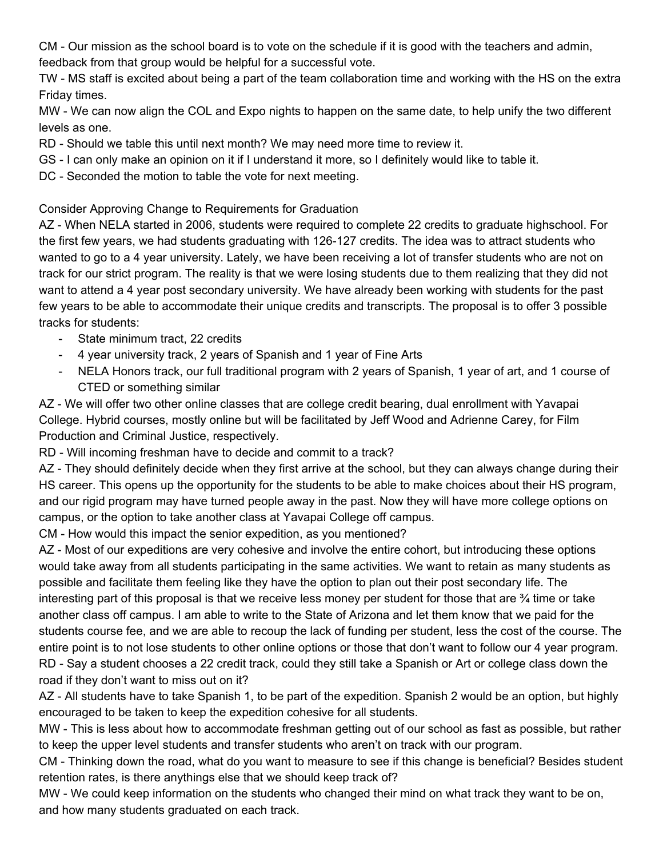CM - Our mission as the school board is to vote on the schedule if it is good with the teachers and admin, feedback from that group would be helpful for a successful vote.

TW - MS staff is excited about being a part of the team collaboration time and working with the HS on the extra Friday times.

MW - We can now align the COL and Expo nights to happen on the same date, to help unify the two different levels as one.

RD - Should we table this until next month? We may need more time to review it.

- GS I can only make an opinion on it if I understand it more, so I definitely would like to table it.
- DC Seconded the motion to table the vote for next meeting.

## Consider Approving Change to Requirements for Graduation

AZ - When NELA started in 2006, students were required to complete 22 credits to graduate highschool. For the first few years, we had students graduating with 126-127 credits. The idea was to attract students who wanted to go to a 4 year university. Lately, we have been receiving a lot of transfer students who are not on track for our strict program. The reality is that we were losing students due to them realizing that they did not want to attend a 4 year post secondary university. We have already been working with students for the past few years to be able to accommodate their unique credits and transcripts. The proposal is to offer 3 possible tracks for students:

- State minimum tract, 22 credits
- 4 year university track, 2 years of Spanish and 1 year of Fine Arts
- NELA Honors track, our full traditional program with 2 years of Spanish, 1 year of art, and 1 course of CTED or something similar

AZ - We will offer two other online classes that are college credit bearing, dual enrollment with Yavapai College. Hybrid courses, mostly online but will be facilitated by Jeff Wood and Adrienne Carey, for Film Production and Criminal Justice, respectively.

RD - Will incoming freshman have to decide and commit to a track?

AZ - They should definitely decide when they first arrive at the school, but they can always change during their HS career. This opens up the opportunity for the students to be able to make choices about their HS program, and our rigid program may have turned people away in the past. Now they will have more college options on campus, or the option to take another class at Yavapai College off campus.

CM - How would this impact the senior expedition, as you mentioned?

AZ - Most of our expeditions are very cohesive and involve the entire cohort, but introducing these options would take away from all students participating in the same activities. We want to retain as many students as possible and facilitate them feeling like they have the option to plan out their post secondary life. The interesting part of this proposal is that we receive less money per student for those that are ¾ time or take another class off campus. I am able to write to the State of Arizona and let them know that we paid for the students course fee, and we are able to recoup the lack of funding per student, less the cost of the course. The entire point is to not lose students to other online options or those that don't want to follow our 4 year program. RD - Say a student chooses a 22 credit track, could they still take a Spanish or Art or college class down the road if they don't want to miss out on it?

AZ - All students have to take Spanish 1, to be part of the expedition. Spanish 2 would be an option, but highly encouraged to be taken to keep the expedition cohesive for all students.

MW - This is less about how to accommodate freshman getting out of our school as fast as possible, but rather to keep the upper level students and transfer students who aren't on track with our program.

CM - Thinking down the road, what do you want to measure to see if this change is beneficial? Besides student retention rates, is there anythings else that we should keep track of?

MW - We could keep information on the students who changed their mind on what track they want to be on, and how many students graduated on each track.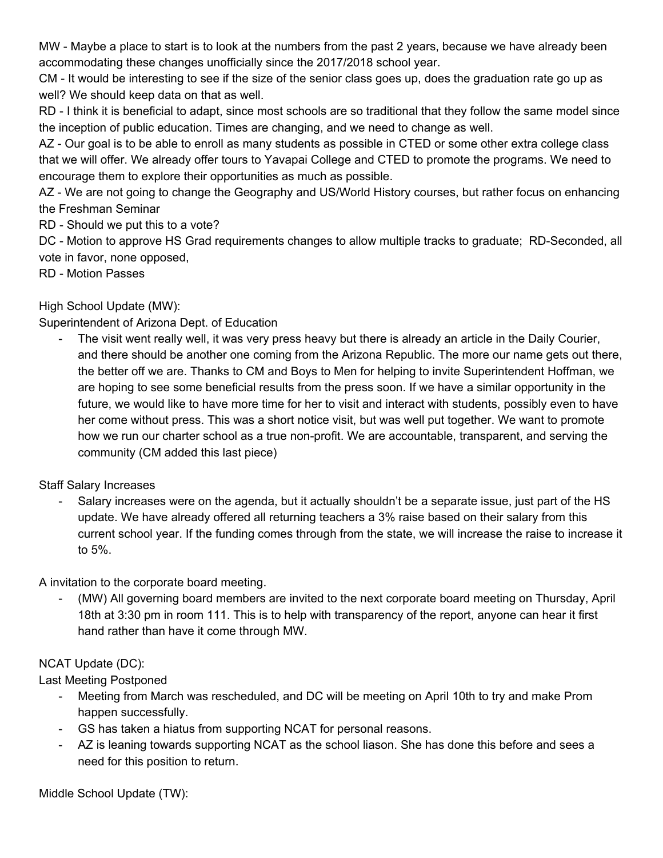MW - Maybe a place to start is to look at the numbers from the past 2 years, because we have already been accommodating these changes unofficially since the 2017/2018 school year.

CM - It would be interesting to see if the size of the senior class goes up, does the graduation rate go up as well? We should keep data on that as well.

RD - I think it is beneficial to adapt, since most schools are so traditional that they follow the same model since the inception of public education. Times are changing, and we need to change as well.

AZ - Our goal is to be able to enroll as many students as possible in CTED or some other extra college class that we will offer. We already offer tours to Yavapai College and CTED to promote the programs. We need to encourage them to explore their opportunities as much as possible.

AZ - We are not going to change the Geography and US/World History courses, but rather focus on enhancing the Freshman Seminar

RD - Should we put this to a vote?

DC - Motion to approve HS Grad requirements changes to allow multiple tracks to graduate; RD-Seconded, all vote in favor, none opposed,

RD - Motion Passes

High School Update (MW):

Superintendent of Arizona Dept. of Education

The visit went really well, it was very press heavy but there is already an article in the Daily Courier, and there should be another one coming from the Arizona Republic. The more our name gets out there, the better off we are. Thanks to CM and Boys to Men for helping to invite Superintendent Hoffman, we are hoping to see some beneficial results from the press soon. If we have a similar opportunity in the future, we would like to have more time for her to visit and interact with students, possibly even to have her come without press. This was a short notice visit, but was well put together. We want to promote how we run our charter school as a true non-profit. We are accountable, transparent, and serving the community (CM added this last piece)

Staff Salary Increases

Salary increases were on the agenda, but it actually shouldn't be a separate issue, just part of the HS update. We have already offered all returning teachers a 3% raise based on their salary from this current school year. If the funding comes through from the state, we will increase the raise to increase it to 5%.

A invitation to the corporate board meeting.

- (MW) All governing board members are invited to the next corporate board meeting on Thursday, April 18th at 3:30 pm in room 111. This is to help with transparency of the report, anyone can hear it first hand rather than have it come through MW.

# NCAT Update (DC):

Last Meeting Postponed

- Meeting from March was rescheduled, and DC will be meeting on April 10th to try and make Prom happen successfully.
- GS has taken a hiatus from supporting NCAT for personal reasons.
- AZ is leaning towards supporting NCAT as the school liason. She has done this before and sees a need for this position to return.

Middle School Update (TW):